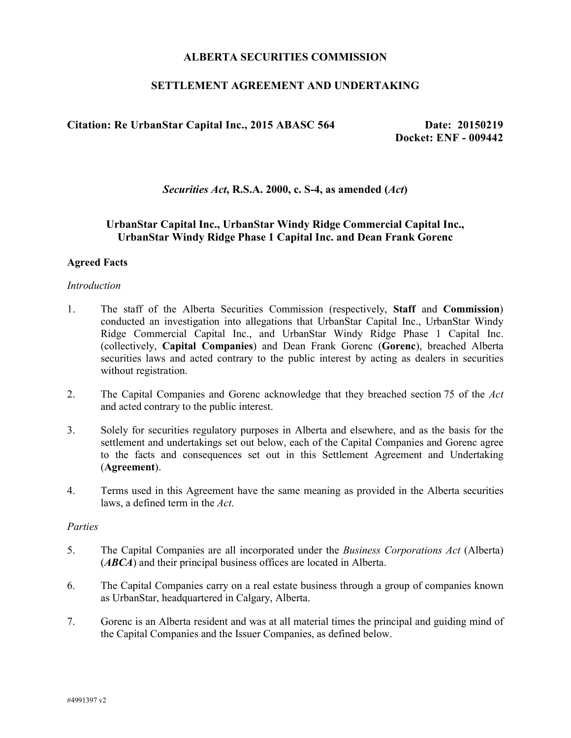## **ALBERTA SECURITIES COMMISSION**

# **SETTLEMENT AGREEMENT AND UNDERTAKING**

# Citation: Re UrbanStar Capital Inc., 2015 ABASC 564 Date: 20150219

**Docket: ENF - 009442**

*Securities Act***, R.S.A. 2000, c. S-4, as amended (***Act***)**

# **UrbanStar Capital Inc., UrbanStar Windy Ridge Commercial Capital Inc., UrbanStar Windy Ridge Phase 1 Capital Inc. and Dean Frank Gorenc**

## **Agreed Facts**

#### *Introduction*

- 1. The staff of the Alberta Securities Commission (respectively, **Staff** and **Commission**) conducted an investigation into allegations that UrbanStar Capital Inc., UrbanStar Windy Ridge Commercial Capital Inc., and UrbanStar Windy Ridge Phase 1 Capital Inc. (collectively, **Capital Companies**) and Dean Frank Gorenc (**Gorenc**), breached Alberta securities laws and acted contrary to the public interest by acting as dealers in securities without registration.
- 2. The Capital Companies and Gorenc acknowledge that they breached section 75 of the *Act* and acted contrary to the public interest.
- 3. Solely for securities regulatory purposes in Alberta and elsewhere, and as the basis for the settlement and undertakings set out below, each of the Capital Companies and Gorenc agree to the facts and consequences set out in this Settlement Agreement and Undertaking (**Agreement**).
- 4. Terms used in this Agreement have the same meaning as provided in the Alberta securities laws, a defined term in the *Act*.

#### *Parties*

- 5. The Capital Companies are all incorporated under the *Business Corporations Act* (Alberta) (*ABCA*) and their principal business offices are located in Alberta.
- 6. The Capital Companies carry on a real estate business through a group of companies known as UrbanStar, headquartered in Calgary, Alberta.
- 7. Gorenc is an Alberta resident and was at all material times the principal and guiding mind of the Capital Companies and the Issuer Companies, as defined below.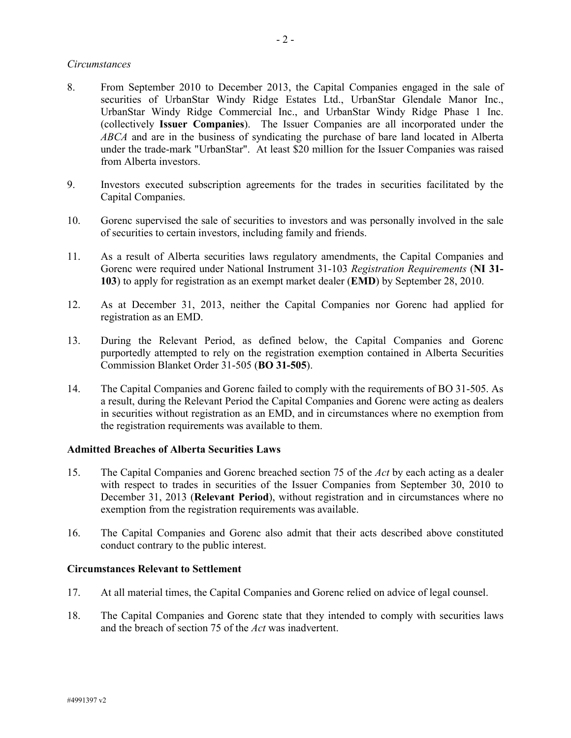## *Circumstances*

- 8. From September 2010 to December 2013, the Capital Companies engaged in the sale of securities of UrbanStar Windy Ridge Estates Ltd., UrbanStar Glendale Manor Inc., UrbanStar Windy Ridge Commercial Inc., and UrbanStar Windy Ridge Phase 1 Inc. (collectively **Issuer Companies**). The Issuer Companies are all incorporated under the *ABCA* and are in the business of syndicating the purchase of bare land located in Alberta under the trade-mark "UrbanStar". At least \$20 million for the Issuer Companies was raised from Alberta investors.
- 9. Investors executed subscription agreements for the trades in securities facilitated by the Capital Companies.
- 10. Gorenc supervised the sale of securities to investors and was personally involved in the sale of securities to certain investors, including family and friends.
- 11. As a result of Alberta securities laws regulatory amendments, the Capital Companies and Gorenc were required under National Instrument 31-103 *Registration Requirements* (**NI 31- 103**) to apply for registration as an exempt market dealer (**EMD**) by September 28, 2010.
- 12. As at December 31, 2013, neither the Capital Companies nor Gorenc had applied for registration as an EMD.
- 13. During the Relevant Period, as defined below, the Capital Companies and Gorenc purportedly attempted to rely on the registration exemption contained in Alberta Securities Commission Blanket Order 31-505 (**BO 31-505**).
- 14. The Capital Companies and Gorenc failed to comply with the requirements of BO 31-505. As a result, during the Relevant Period the Capital Companies and Gorenc were acting as dealers in securities without registration as an EMD, and in circumstances where no exemption from the registration requirements was available to them.

#### **Admitted Breaches of Alberta Securities Laws**

- 15. The Capital Companies and Gorenc breached section 75 of the *Act* by each acting as a dealer with respect to trades in securities of the Issuer Companies from September 30, 2010 to December 31, 2013 (**Relevant Period**), without registration and in circumstances where no exemption from the registration requirements was available.
- 16. The Capital Companies and Gorenc also admit that their acts described above constituted conduct contrary to the public interest.

## **Circumstances Relevant to Settlement**

- 17. At all material times, the Capital Companies and Gorenc relied on advice of legal counsel.
- 18. The Capital Companies and Gorenc state that they intended to comply with securities laws and the breach of section 75 of the *Act* was inadvertent.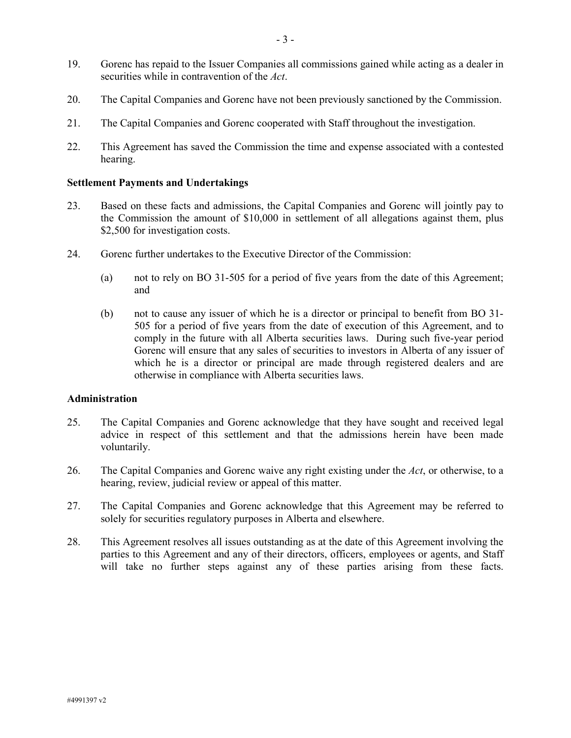- 19. Gorenc has repaid to the Issuer Companies all commissions gained while acting as a dealer in securities while in contravention of the *Act*.
- 20. The Capital Companies and Gorenc have not been previously sanctioned by the Commission.
- 21. The Capital Companies and Gorenc cooperated with Staff throughout the investigation.
- 22. This Agreement has saved the Commission the time and expense associated with a contested hearing.

#### **Settlement Payments and Undertakings**

- 23. Based on these facts and admissions, the Capital Companies and Gorenc will jointly pay to the Commission the amount of \$10,000 in settlement of all allegations against them, plus \$2,500 for investigation costs.
- 24. Gorenc further undertakes to the Executive Director of the Commission:
	- (a) not to rely on BO 31-505 for a period of five years from the date of this Agreement; and
	- (b) not to cause any issuer of which he is a director or principal to benefit from BO 31- 505 for a period of five years from the date of execution of this Agreement, and to comply in the future with all Alberta securities laws. During such five-year period Gorenc will ensure that any sales of securities to investors in Alberta of any issuer of which he is a director or principal are made through registered dealers and are otherwise in compliance with Alberta securities laws.

## **Administration**

- 25. The Capital Companies and Gorenc acknowledge that they have sought and received legal advice in respect of this settlement and that the admissions herein have been made voluntarily.
- 26. The Capital Companies and Gorenc waive any right existing under the *Act*, or otherwise, to a hearing, review, judicial review or appeal of this matter.
- 27. The Capital Companies and Gorenc acknowledge that this Agreement may be referred to solely for securities regulatory purposes in Alberta and elsewhere.
- 28. This Agreement resolves all issues outstanding as at the date of this Agreement involving the parties to this Agreement and any of their directors, officers, employees or agents, and Staff will take no further steps against any of these parties arising from these facts.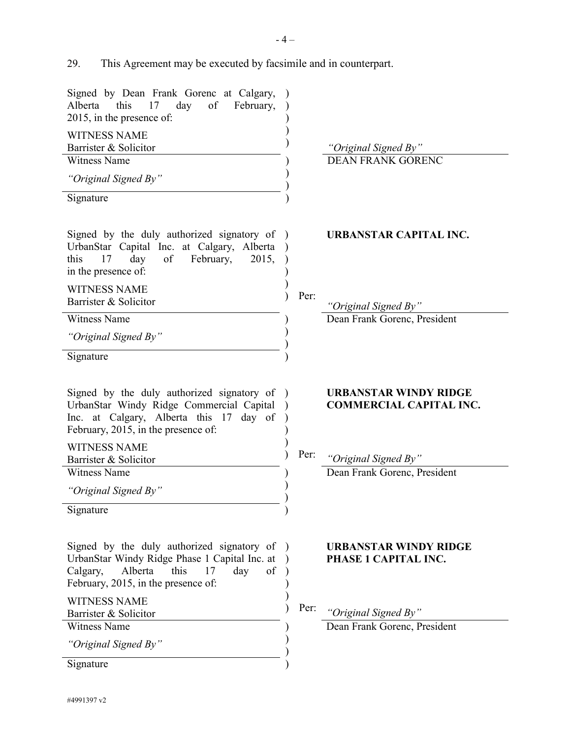29. This Agreement may be executed by facsimile and in counterpart.

| Signed by Dean Frank Gorenc at Calgary,<br>day<br>Alberta<br>this<br>17<br>of<br>February,<br>2015, in the presence of:                                                                            |      |                                                                                        |
|----------------------------------------------------------------------------------------------------------------------------------------------------------------------------------------------------|------|----------------------------------------------------------------------------------------|
| <b>WITNESS NAME</b><br>Barrister & Solicitor                                                                                                                                                       |      | "Original Signed By"                                                                   |
| <b>Witness Name</b>                                                                                                                                                                                |      | <b>DEAN FRANK GORENC</b>                                                               |
| "Original Signed By"                                                                                                                                                                               |      |                                                                                        |
| Signature                                                                                                                                                                                          |      |                                                                                        |
|                                                                                                                                                                                                    |      |                                                                                        |
| Signed by the duly authorized signatory of<br>UrbanStar Capital Inc. at Calgary, Alberta<br>this<br>day<br>of<br>February,<br>2015,<br>17<br>in the presence of:                                   |      | <b>URBANSTAR CAPITAL INC.</b>                                                          |
| <b>WITNESS NAME</b>                                                                                                                                                                                | Per: |                                                                                        |
| Barrister & Solicitor                                                                                                                                                                              |      | "Original Signed By"                                                                   |
| <b>Witness Name</b>                                                                                                                                                                                |      | Dean Frank Gorenc, President                                                           |
| "Original Signed By"                                                                                                                                                                               |      |                                                                                        |
| Signature                                                                                                                                                                                          |      |                                                                                        |
| Signed by the duly authorized signatory of<br>UrbanStar Windy Ridge Commercial Capital<br>Inc. at Calgary, Alberta this 17<br>day of<br>February, 2015, in the presence of:<br><b>WITNESS NAME</b> | Per: | <b>URBANSTAR WINDY RIDGE</b><br><b>COMMERCIAL CAPITAL INC.</b><br>"Original Signed By" |
| Barrister & Solicitor<br><b>Witness Name</b>                                                                                                                                                       |      | Dean Frank Gorenc, President                                                           |
| "Original Signed By"                                                                                                                                                                               |      |                                                                                        |
| Signature                                                                                                                                                                                          |      |                                                                                        |
|                                                                                                                                                                                                    |      |                                                                                        |
| Signed by the duly authorized signatory of<br>UrbanStar Windy Ridge Phase 1 Capital Inc. at<br>this<br>Alberta<br>17<br>day<br>of<br>Calgary,<br>February, 2015, in the presence of:               |      | <b>URBANSTAR WINDY RIDGE</b><br>PHASE 1 CAPITAL INC.                                   |
| <b>WITNESS NAME</b>                                                                                                                                                                                | Per: |                                                                                        |
| Barrister & Solicitor                                                                                                                                                                              |      | "Original Signed By"                                                                   |
| <b>Witness Name</b>                                                                                                                                                                                |      | Dean Frank Gorenc, President                                                           |
| "Original Signed By"                                                                                                                                                                               |      |                                                                                        |
| Signature                                                                                                                                                                                          |      |                                                                                        |